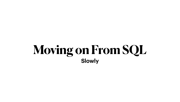# **Moving on From SQL Slowly**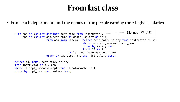• From each department, find the names of the people earning the 2 highest salaries

from aaa join lateral (select dept\_name, salary from instructor as sii where sii.dept\_name=aaa.dept\_name order by salary desc limit 2) as lsi on lsi.dept\_name=aaa.dept\_name Distinct!!! Why???

## **From last class**

```
with aaa as (select distinct dept_name from instructor),
      bbb as (select aaa.dept_name as deptt, salary as sall 
                     order by aaa.dept_name asc, lsi.salary desc)
select id, name, dept_name, salary 
from instructor as i1, bbb 
where i1.dept_name=bbb.deptt and i1.salary=bbb.sall
order by dept_name asc, salary desc;
```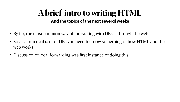- By far, the most common way of interacting with DBs is through the web.
- So as a practical user of DBs you need to know something of how HTML and the web works
- Discussion of local forwarding was first instance of doing this.

#### **A brief intro to writing HTML And the topics of the next several weeks**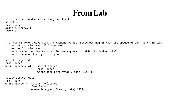### **From Lab**



-- select one random use sorting and limit. select \* from launch order by random() limit 1;

--in two different ways find all launches whose apogee was higher than the apogee of any launch in 1957. -- way 1: using the "all" operator -- way 2: using max -- compare the time required for each query ... which is faster, why?

-- to turn on timing: \timing on

```
select apogee, date 
from launch 
where apogee > all ( select apogee 
                       from launch 
                       where date_part('year', date)=1957);
select apogee, date 
from launch 
where apogee > ( select max(apogee) 
                   from launch 
                  where date_part('year', date)=1957);
```